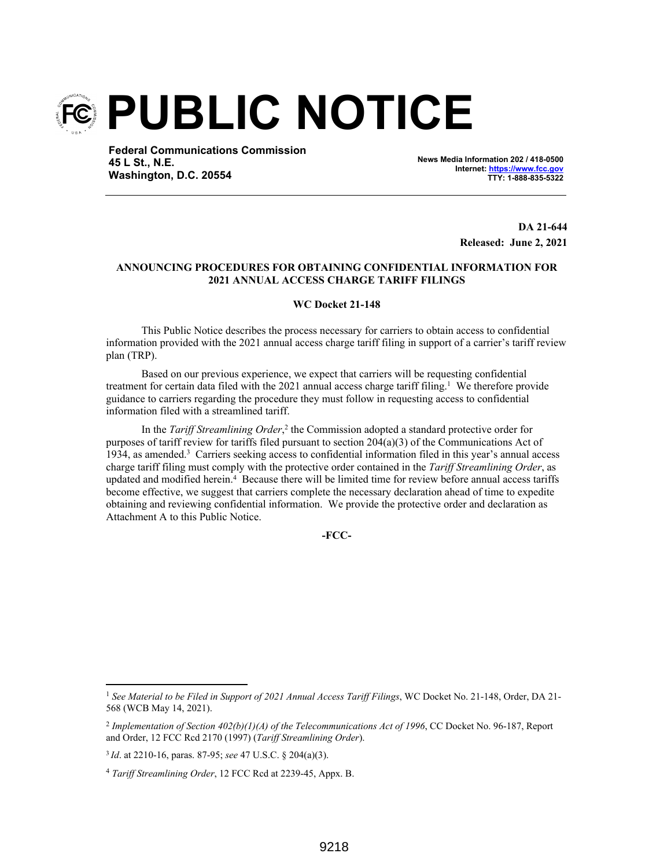

**Federal Communications Commission 45 L St., N.E. Washington, D.C. 20554**

**News Media Information 202 / 418-0500 Internet: https://www.fcc.gov TTY: 1-888-835-5322**

> **DA 21-644 Released: June 2, 2021**

# **ANNOUNCING PROCEDURES FOR OBTAINING CONFIDENTIAL INFORMATION FOR 2021 ANNUAL ACCESS CHARGE TARIFF FILINGS**

### **WC Docket 21-148**

This Public Notice describes the process necessary for carriers to obtain access to confidential information provided with the 2021 annual access charge tariff filing in support of a carrier's tariff review plan (TRP).

Based on our previous experience, we expect that carriers will be requesting confidential treatment for certain data filed with the 2021 annual access charge tariff filing.<sup>1</sup> We therefore provide guidance to carriers regarding the procedure they must follow in requesting access to confidential information filed with a streamlined tariff.

In the *Tariff Streamlining Order*,<sup>2</sup> the Commission adopted a standard protective order for purposes of tariff review for tariffs filed pursuant to section  $204(a)(3)$  of the Communications Act of 1934, as amended.<sup>3</sup> Carriers seeking access to confidential information filed in this year's annual access charge tariff filing must comply with the protective order contained in the *Tariff Streamlining Order*, as updated and modified herein.<sup>4</sup> Because there will be limited time for review before annual access tariffs become effective, we suggest that carriers complete the necessary declaration ahead of time to expedite obtaining and reviewing confidential information. We provide the protective order and declaration as Attachment A to this Public Notice.

**-FCC-**

<sup>1</sup> *See Material to be Filed in Support of 2021 Annual Access Tariff Filings*, WC Docket No. 21-148, Order, DA 21- 568 (WCB May 14, 2021).

<sup>2</sup> *Implementation of Section 402(b)(1)(A) of the Telecommunications Act of 1996*, CC Docket No. 96-187, Report and Order, 12 FCC Rcd 2170 (1997) (*Tariff Streamlining Order*).

<sup>3</sup>*Id*. at 2210-16, paras. 87-95; *see* 47 U.S.C. § 204(a)(3).

<sup>4</sup> *Tariff Streamlining Order*, 12 FCC Rcd at 2239-45, Appx. B.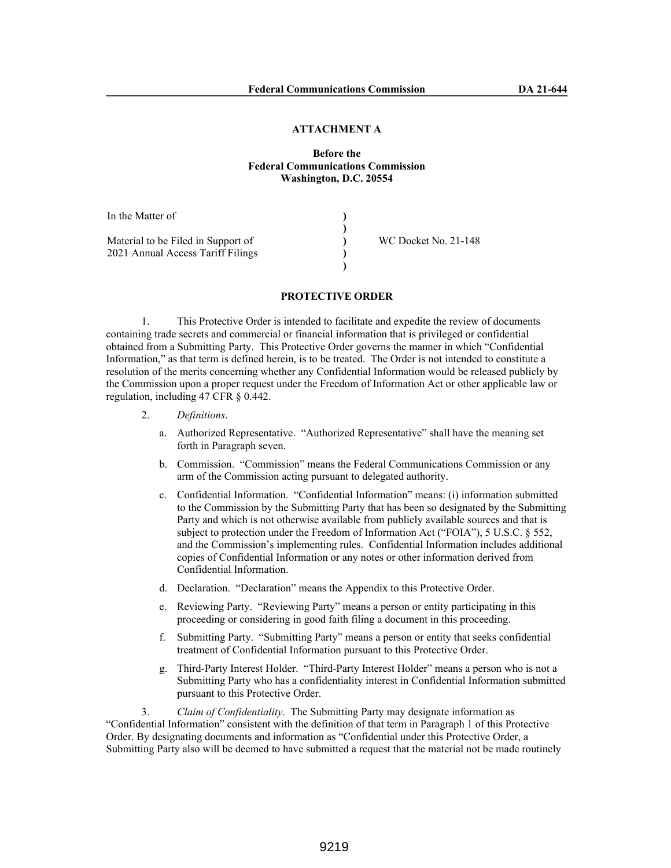#### **ATTACHMENT A**

# **Before the Federal Communications Commission Washington, D.C. 20554**

| In the Matter of                   |                      |
|------------------------------------|----------------------|
|                                    |                      |
| Material to be Filed in Support of | WC Docket No. 21-148 |
| 2021 Annual Access Tariff Filings  |                      |
|                                    |                      |

### **PROTECTIVE ORDER**

1. This Protective Order is intended to facilitate and expedite the review of documents containing trade secrets and commercial or financial information that is privileged or confidential obtained from a Submitting Party. This Protective Order governs the manner in which "Confidential Information," as that term is defined herein, is to be treated. The Order is not intended to constitute a resolution of the merits concerning whether any Confidential Information would be released publicly by the Commission upon a proper request under the Freedom of Information Act or other applicable law or regulation, including 47 CFR § 0.442.

- 2. *Definitions*.
	- a. Authorized Representative. "Authorized Representative" shall have the meaning set forth in Paragraph seven.
	- b. Commission. "Commission" means the Federal Communications Commission or any arm of the Commission acting pursuant to delegated authority.
	- c. Confidential Information. "Confidential Information" means: (i) information submitted to the Commission by the Submitting Party that has been so designated by the Submitting Party and which is not otherwise available from publicly available sources and that is subject to protection under the Freedom of Information Act ("FOIA"), 5 U.S.C. § 552, and the Commission's implementing rules. Confidential Information includes additional copies of Confidential Information or any notes or other information derived from Confidential Information.
	- d. Declaration. "Declaration" means the Appendix to this Protective Order.
	- e. Reviewing Party. "Reviewing Party" means a person or entity participating in this proceeding or considering in good faith filing a document in this proceeding.
	- f. Submitting Party. "Submitting Party" means a person or entity that seeks confidential treatment of Confidential Information pursuant to this Protective Order.
	- g. Third-Party Interest Holder. "Third-Party Interest Holder" means a person who is not a Submitting Party who has a confidentiality interest in Confidential Information submitted pursuant to this Protective Order.

3. *Claim of Confidentiality*. The Submitting Party may designate information as "Confidential Information" consistent with the definition of that term in Paragraph 1 of this Protective Order. By designating documents and information as "Confidential under this Protective Order, a Submitting Party also will be deemed to have submitted a request that the material not be made routinely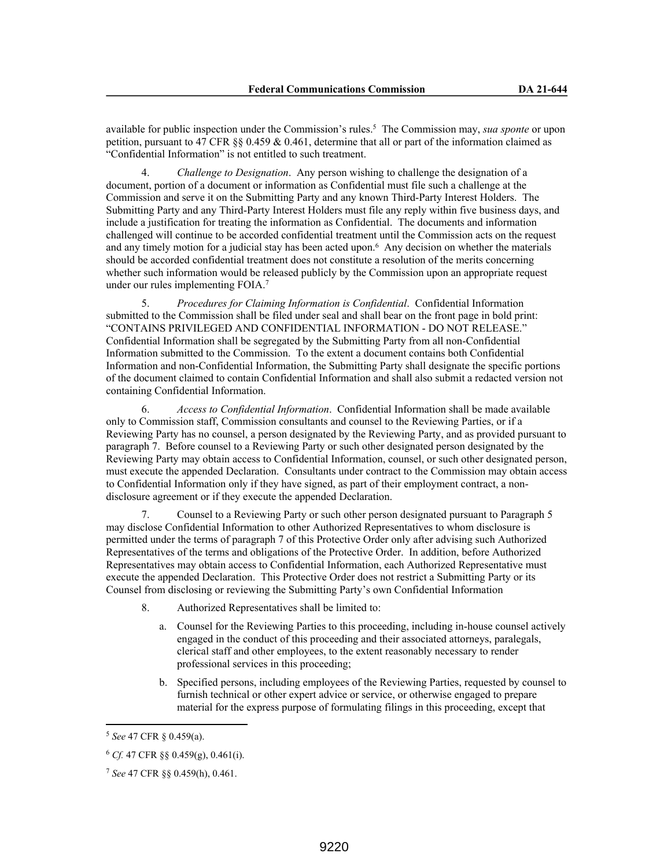available for public inspection under the Commission's rules.<sup>5</sup> The Commission may, *sua sponte* or upon petition, pursuant to 47 CFR §§ 0.459 & 0.461, determine that all or part of the information claimed as "Confidential Information" is not entitled to such treatment.

4. *Challenge to Designation*. Any person wishing to challenge the designation of a document, portion of a document or information as Confidential must file such a challenge at the Commission and serve it on the Submitting Party and any known Third-Party Interest Holders. The Submitting Party and any Third-Party Interest Holders must file any reply within five business days, and include a justification for treating the information as Confidential. The documents and information challenged will continue to be accorded confidential treatment until the Commission acts on the request and any timely motion for a judicial stay has been acted upon.<sup>6</sup> Any decision on whether the materials should be accorded confidential treatment does not constitute a resolution of the merits concerning whether such information would be released publicly by the Commission upon an appropriate request under our rules implementing FOIA.<sup>7</sup>

5. *Procedures for Claiming Information is Confidential*. Confidential Information submitted to the Commission shall be filed under seal and shall bear on the front page in bold print: "CONTAINS PRIVILEGED AND CONFIDENTIAL INFORMATION - DO NOT RELEASE." Confidential Information shall be segregated by the Submitting Party from all non-Confidential Information submitted to the Commission. To the extent a document contains both Confidential Information and non-Confidential Information, the Submitting Party shall designate the specific portions of the document claimed to contain Confidential Information and shall also submit a redacted version not containing Confidential Information.

6. *Access to Confidential Information*. Confidential Information shall be made available only to Commission staff, Commission consultants and counsel to the Reviewing Parties, or if a Reviewing Party has no counsel, a person designated by the Reviewing Party, and as provided pursuant to paragraph 7. Before counsel to a Reviewing Party or such other designated person designated by the Reviewing Party may obtain access to Confidential Information, counsel, or such other designated person, must execute the appended Declaration. Consultants under contract to the Commission may obtain access to Confidential Information only if they have signed, as part of their employment contract, a nondisclosure agreement or if they execute the appended Declaration.

7. Counsel to a Reviewing Party or such other person designated pursuant to Paragraph 5 may disclose Confidential Information to other Authorized Representatives to whom disclosure is permitted under the terms of paragraph 7 of this Protective Order only after advising such Authorized Representatives of the terms and obligations of the Protective Order. In addition, before Authorized Representatives may obtain access to Confidential Information, each Authorized Representative must execute the appended Declaration. This Protective Order does not restrict a Submitting Party or its Counsel from disclosing or reviewing the Submitting Party's own Confidential Information

- 8. Authorized Representatives shall be limited to:
	- a. Counsel for the Reviewing Parties to this proceeding, including in-house counsel actively engaged in the conduct of this proceeding and their associated attorneys, paralegals, clerical staff and other employees, to the extent reasonably necessary to render professional services in this proceeding;
	- b. Specified persons, including employees of the Reviewing Parties, requested by counsel to furnish technical or other expert advice or service, or otherwise engaged to prepare material for the express purpose of formulating filings in this proceeding, except that

<sup>5</sup> *See* 47 CFR § 0.459(a).

<sup>6</sup> *Cf.* 47 CFR §§ 0.459(g), 0.461(i).

<sup>7</sup> *See* 47 CFR §§ 0.459(h), 0.461.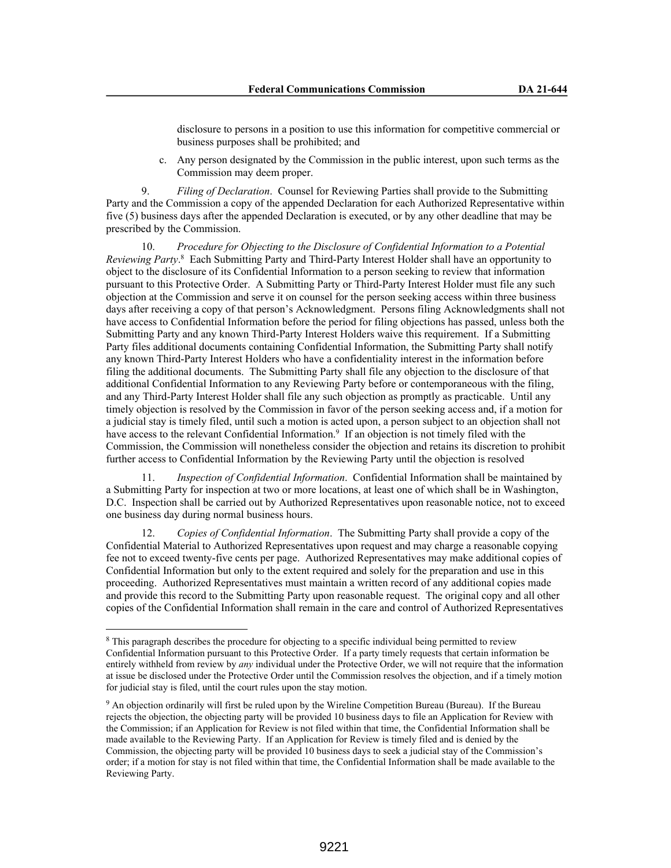disclosure to persons in a position to use this information for competitive commercial or business purposes shall be prohibited; and

c. Any person designated by the Commission in the public interest, upon such terms as the Commission may deem proper.

9. *Filing of Declaration*. Counsel for Reviewing Parties shall provide to the Submitting Party and the Commission a copy of the appended Declaration for each Authorized Representative within five (5) business days after the appended Declaration is executed, or by any other deadline that may be prescribed by the Commission.

10. *Procedure for Objecting to the Disclosure of Confidential Information to a Potential Reviewing Party*.<sup>8</sup> Each Submitting Party and Third-Party Interest Holder shall have an opportunity to object to the disclosure of its Confidential Information to a person seeking to review that information pursuant to this Protective Order. A Submitting Party or Third-Party Interest Holder must file any such objection at the Commission and serve it on counsel for the person seeking access within three business days after receiving a copy of that person's Acknowledgment. Persons filing Acknowledgments shall not have access to Confidential Information before the period for filing objections has passed, unless both the Submitting Party and any known Third-Party Interest Holders waive this requirement. If a Submitting Party files additional documents containing Confidential Information, the Submitting Party shall notify any known Third-Party Interest Holders who have a confidentiality interest in the information before filing the additional documents. The Submitting Party shall file any objection to the disclosure of that additional Confidential Information to any Reviewing Party before or contemporaneous with the filing, and any Third-Party Interest Holder shall file any such objection as promptly as practicable. Until any timely objection is resolved by the Commission in favor of the person seeking access and, if a motion for a judicial stay is timely filed, until such a motion is acted upon, a person subject to an objection shall not have access to the relevant Confidential Information.<sup>9</sup> If an objection is not timely filed with the Commission, the Commission will nonetheless consider the objection and retains its discretion to prohibit further access to Confidential Information by the Reviewing Party until the objection is resolved

11. *Inspection of Confidential Information*. Confidential Information shall be maintained by a Submitting Party for inspection at two or more locations, at least one of which shall be in Washington, D.C. Inspection shall be carried out by Authorized Representatives upon reasonable notice, not to exceed one business day during normal business hours.

12. *Copies of Confidential Information*. The Submitting Party shall provide a copy of the Confidential Material to Authorized Representatives upon request and may charge a reasonable copying fee not to exceed twenty-five cents per page. Authorized Representatives may make additional copies of Confidential Information but only to the extent required and solely for the preparation and use in this proceeding. Authorized Representatives must maintain a written record of any additional copies made and provide this record to the Submitting Party upon reasonable request. The original copy and all other copies of the Confidential Information shall remain in the care and control of Authorized Representatives

<sup>&</sup>lt;sup>8</sup> This paragraph describes the procedure for objecting to a specific individual being permitted to review Confidential Information pursuant to this Protective Order. If a party timely requests that certain information be entirely withheld from review by *any* individual under the Protective Order, we will not require that the information at issue be disclosed under the Protective Order until the Commission resolves the objection, and if a timely motion for judicial stay is filed, until the court rules upon the stay motion.

<sup>&</sup>lt;sup>9</sup> An objection ordinarily will first be ruled upon by the Wireline Competition Bureau (Bureau). If the Bureau rejects the objection, the objecting party will be provided 10 business days to file an Application for Review with the Commission; if an Application for Review is not filed within that time, the Confidential Information shall be made available to the Reviewing Party. If an Application for Review is timely filed and is denied by the Commission, the objecting party will be provided 10 business days to seek a judicial stay of the Commission's order; if a motion for stay is not filed within that time, the Confidential Information shall be made available to the Reviewing Party.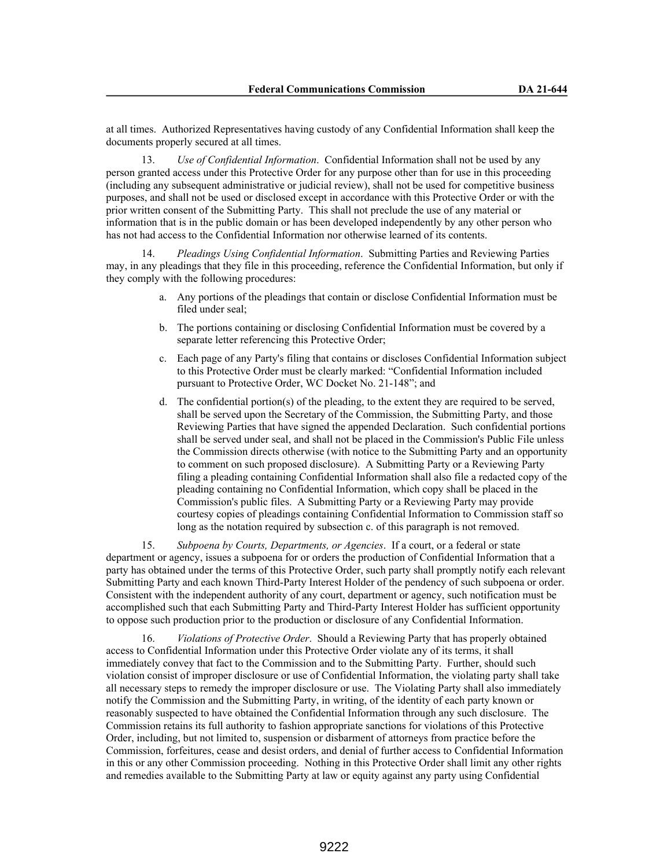at all times. Authorized Representatives having custody of any Confidential Information shall keep the documents properly secured at all times.

13. *Use of Confidential Information*. Confidential Information shall not be used by any person granted access under this Protective Order for any purpose other than for use in this proceeding (including any subsequent administrative or judicial review), shall not be used for competitive business purposes, and shall not be used or disclosed except in accordance with this Protective Order or with the prior written consent of the Submitting Party. This shall not preclude the use of any material or information that is in the public domain or has been developed independently by any other person who has not had access to the Confidential Information nor otherwise learned of its contents.

14. *Pleadings Using Confidential Information*. Submitting Parties and Reviewing Parties may, in any pleadings that they file in this proceeding, reference the Confidential Information, but only if they comply with the following procedures:

- a. Any portions of the pleadings that contain or disclose Confidential Information must be filed under seal;
- b. The portions containing or disclosing Confidential Information must be covered by a separate letter referencing this Protective Order;
- c. Each page of any Party's filing that contains or discloses Confidential Information subject to this Protective Order must be clearly marked: "Confidential Information included pursuant to Protective Order, WC Docket No. 21-148"; and
- d. The confidential portion(s) of the pleading, to the extent they are required to be served, shall be served upon the Secretary of the Commission, the Submitting Party, and those Reviewing Parties that have signed the appended Declaration. Such confidential portions shall be served under seal, and shall not be placed in the Commission's Public File unless the Commission directs otherwise (with notice to the Submitting Party and an opportunity to comment on such proposed disclosure). A Submitting Party or a Reviewing Party filing a pleading containing Confidential Information shall also file a redacted copy of the pleading containing no Confidential Information, which copy shall be placed in the Commission's public files. A Submitting Party or a Reviewing Party may provide courtesy copies of pleadings containing Confidential Information to Commission staff so long as the notation required by subsection c. of this paragraph is not removed.

15. *Subpoena by Courts, Departments, or Agencies*. If a court, or a federal or state department or agency, issues a subpoena for or orders the production of Confidential Information that a party has obtained under the terms of this Protective Order, such party shall promptly notify each relevant Submitting Party and each known Third-Party Interest Holder of the pendency of such subpoena or order. Consistent with the independent authority of any court, department or agency, such notification must be accomplished such that each Submitting Party and Third-Party Interest Holder has sufficient opportunity to oppose such production prior to the production or disclosure of any Confidential Information.

16. *Violations of Protective Order*. Should a Reviewing Party that has properly obtained access to Confidential Information under this Protective Order violate any of its terms, it shall immediately convey that fact to the Commission and to the Submitting Party. Further, should such violation consist of improper disclosure or use of Confidential Information, the violating party shall take all necessary steps to remedy the improper disclosure or use. The Violating Party shall also immediately notify the Commission and the Submitting Party, in writing, of the identity of each party known or reasonably suspected to have obtained the Confidential Information through any such disclosure. The Commission retains its full authority to fashion appropriate sanctions for violations of this Protective Order, including, but not limited to, suspension or disbarment of attorneys from practice before the Commission, forfeitures, cease and desist orders, and denial of further access to Confidential Information in this or any other Commission proceeding. Nothing in this Protective Order shall limit any other rights and remedies available to the Submitting Party at law or equity against any party using Confidential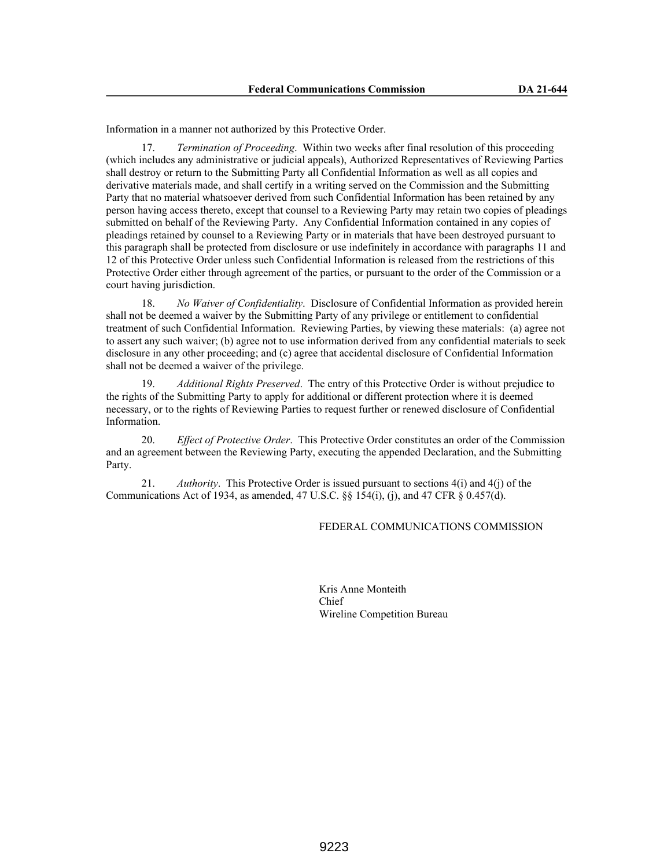Information in a manner not authorized by this Protective Order.

17. *Termination of Proceeding*. Within two weeks after final resolution of this proceeding (which includes any administrative or judicial appeals), Authorized Representatives of Reviewing Parties shall destroy or return to the Submitting Party all Confidential Information as well as all copies and derivative materials made, and shall certify in a writing served on the Commission and the Submitting Party that no material whatsoever derived from such Confidential Information has been retained by any person having access thereto, except that counsel to a Reviewing Party may retain two copies of pleadings submitted on behalf of the Reviewing Party. Any Confidential Information contained in any copies of pleadings retained by counsel to a Reviewing Party or in materials that have been destroyed pursuant to this paragraph shall be protected from disclosure or use indefinitely in accordance with paragraphs 11 and 12 of this Protective Order unless such Confidential Information is released from the restrictions of this Protective Order either through agreement of the parties, or pursuant to the order of the Commission or a court having jurisdiction.

18. *No Waiver of Confidentiality*. Disclosure of Confidential Information as provided herein shall not be deemed a waiver by the Submitting Party of any privilege or entitlement to confidential treatment of such Confidential Information. Reviewing Parties, by viewing these materials: (a) agree not to assert any such waiver; (b) agree not to use information derived from any confidential materials to seek disclosure in any other proceeding; and (c) agree that accidental disclosure of Confidential Information shall not be deemed a waiver of the privilege.

19. *Additional Rights Preserved*. The entry of this Protective Order is without prejudice to the rights of the Submitting Party to apply for additional or different protection where it is deemed necessary, or to the rights of Reviewing Parties to request further or renewed disclosure of Confidential Information.

20. *Effect of Protective Order*. This Protective Order constitutes an order of the Commission and an agreement between the Reviewing Party, executing the appended Declaration, and the Submitting Party.

21. *Authority*. This Protective Order is issued pursuant to sections 4(i) and 4(j) of the Communications Act of 1934, as amended, 47 U.S.C.  $\&$  154(i), (j), and 47 CFR  $\&$  0.457(d).

#### FEDERAL COMMUNICATIONS COMMISSION

Kris Anne Monteith Chief Wireline Competition Bureau